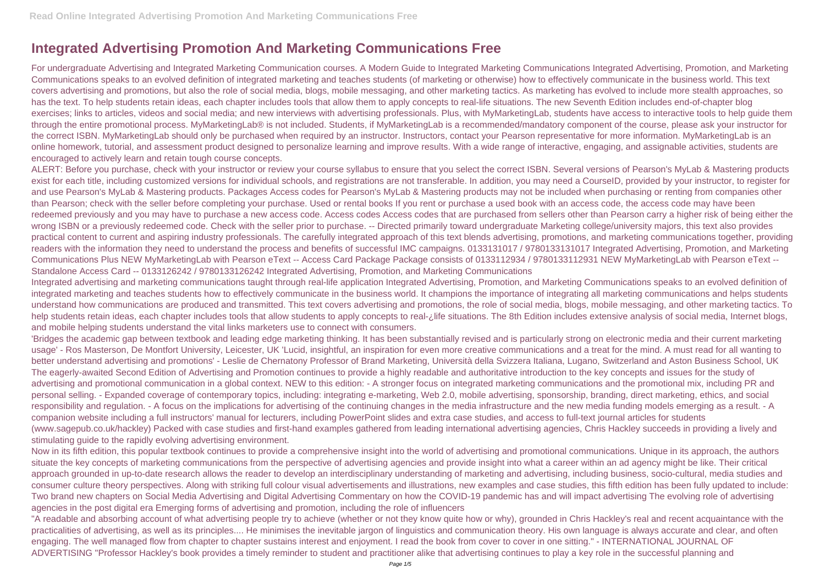## **Integrated Advertising Promotion And Marketing Communications Free**

For undergraduate Advertising and Integrated Marketing Communication courses. A Modern Guide to Integrated Marketing Communications Integrated Advertising, Promotion, and Marketing Communications speaks to an evolved definition of integrated marketing and teaches students (of marketing or otherwise) how to effectively communicate in the business world. This text covers advertising and promotions, but also the role of social media, blogs, mobile messaging, and other marketing tactics. As marketing has evolved to include more stealth approaches, so has the text. To help students retain ideas, each chapter includes tools that allow them to apply concepts to real-life situations. The new Seventh Edition includes end-of-chapter blog exercises; links to articles, videos and social media; and new interviews with advertising professionals. Plus, with MyMarketingLab, students have access to interactive tools to help guide them through the entire promotional process. MyMarketingLab® is not included. Students, if MyMarketingLab is a recommended/mandatory component of the course, please ask your instructor for the correct ISBN. MyMarketingLab should only be purchased when required by an instructor. Instructors, contact your Pearson representative for more information. MyMarketingLab is an online homework, tutorial, and assessment product designed to personalize learning and improve results. With a wide range of interactive, engaging, and assignable activities, students are encouraged to actively learn and retain tough course concepts.

ALERT: Before you purchase, check with your instructor or review your course syllabus to ensure that you select the correct ISBN. Several versions of Pearson's MyLab & Mastering products exist for each title, including customized versions for individual schools, and registrations are not transferable. In addition, you may need a CourseID, provided by your instructor, to register for and use Pearson's MyLab & Mastering products. Packages Access codes for Pearson's MyLab & Mastering products may not be included when purchasing or renting from companies other than Pearson; check with the seller before completing your purchase. Used or rental books If you rent or purchase a used book with an access code, the access code may have been redeemed previously and you may have to purchase a new access code. Access codes to Access codes that are purchased from sellers other than Pearson carry a higher risk of being either the wrong ISBN or a previously redeemed code. Check with the seller prior to purchase. -- Directed primarily toward undergraduate Marketing college/university majors, this text also provides practical content to current and aspiring industry professionals. The carefully integrated approach of this text blends advertising, promotions, and marketing communications together, providing readers with the information they need to understand the process and benefits of successful IMC campaigns. 0133131017 / 9780133131017 Integrated Advertising, Promotion, and Marketing Communications Plus NEW MyMarketingLab with Pearson eText -- Access Card Package Package consists of 0133112934 / 9780133112931 NEW MyMarketingLab with Pearson eText -- Standalone Access Card -- 0133126242 / 9780133126242 Integrated Advertising, Promotion, and Marketing Communications

Now in its fifth edition, this popular textbook continues to provide a comprehensive insight into the world of advertising and promotional communications. Unique in its approach, the authors situate the key concepts of marketing communications from the perspective of advertising agencies and provide insight into what a career within an ad agency might be like. Their critical approach grounded in up-to-date research allows the reader to develop an interdisciplinary understanding of marketing and advertising, including business, socio-cultural, media studies and consumer culture theory perspectives. Along with striking full colour visual advertisements and illustrations, new examples and case studies, this fifth edition has been fully updated to include: Two brand new chapters on Social Media Advertising and Digital Advertising Commentary on how the COVID-19 pandemic has and will impact advertising The evolving role of advertising agencies in the post digital era Emerging forms of advertising and promotion, including the role of influencers

Integrated advertising and marketing communications taught through real-life application Integrated Advertising, Promotion, and Marketing Communications speaks to an evolved definition of integrated marketing and teaches students how to effectively communicate in the business world. It champions the importance of integrating all marketing communications and helps students understand how communications are produced and transmitted. This text covers advertising and promotions, the role of social media, blogs, mobile messaging, and other marketing tactics. To help students retain ideas, each chapter includes tools that allow students to apply concepts to real-¿life situations. The 8th Edition includes extensive analysis of social media, Internet blogs, and mobile helping students understand the vital links marketers use to connect with consumers.

"A readable and absorbing account of what advertising people try to achieve (whether or not they know quite how or why), grounded in Chris Hackley's real and recent acquaintance with the practicalities of advertising, as well as its principles.... He minimises the inevitable jargon of linguistics and communication theory. His own language is always accurate and clear, and often engaging. The well managed flow from chapter to chapter sustains interest and enjoyment. I read the book from cover to cover in one sitting." - INTERNATIONAL JOURNAL OF ADVERTISING "Professor Hackley's book provides a timely reminder to student and practitioner alike that advertising continues to play a key role in the successful planning and

'Bridges the academic gap between textbook and leading edge marketing thinking. It has been substantially revised and is particularly strong on electronic media and their current marketing usage' - Ros Masterson, De Montfort University, Leicester, UK 'Lucid, insightful, an inspiration for even more creative communications and a treat for the mind. A must read for all wanting to better understand advertising and promotions' - Leslie de Chernatony Professor of Brand Marketing, Università della Svizzera Italiana, Lugano, Switzerland and Aston Business School, UK The eagerly-awaited Second Edition of Advertising and Promotion continues to provide a highly readable and authoritative introduction to the key concepts and issues for the study of advertising and promotional communication in a global context. NEW to this edition: - A stronger focus on integrated marketing communications and the promotional mix, including PR and personal selling. - Expanded coverage of contemporary topics, including: integrating e-marketing, Web 2.0, mobile advertising, sponsorship, branding, direct marketing, ethics, and social responsibility and regulation. - A focus on the implications for advertising of the continuing changes in the media infrastructure and the new media funding models emerging as a result. - A companion website including a full instructors' manual for lecturers, including PowerPoint slides and extra case studies, and access to full-text journal articles for students (www.sagepub.co.uk/hackley) Packed with case studies and first-hand examples gathered from leading international advertising agencies, Chris Hackley succeeds in providing a lively and stimulating guide to the rapidly evolving advertising environment.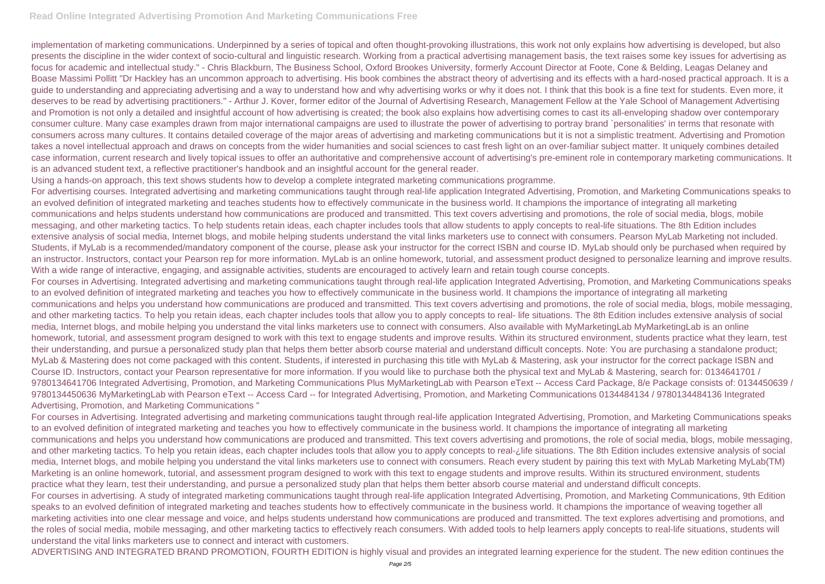implementation of marketing communications. Underpinned by a series of topical and often thought-provoking illustrations, this work not only explains how advertising is developed, but also presents the discipline in the wider context of socio-cultural and linguistic research. Working from a practical advertising management basis, the text raises some key issues for advertising as focus for academic and intellectual study." - Chris Blackburn, The Business School, Oxford Brookes University, formerly Account Director at Foote, Cone & Belding, Leagas Delaney and Boase Massimi Pollitt "Dr Hackley has an uncommon approach to advertising. His book combines the abstract theory of advertising and its effects with a hard-nosed practical approach. It is a guide to understanding and appreciating advertising and a way to understand how and why advertising works or why it does not. I think that this book is a fine text for students. Even more, it deserves to be read by advertising practitioners." - Arthur J. Kover, former editor of the Journal of Advertising Research, Management Fellow at the Yale School of Management Advertising and Promotion is not only a detailed and insightful account of how advertising is created; the book also explains how advertising comes to cast its all-enveloping shadow over contemporary consumer culture. Many case examples drawn from major international campaigns are used to illustrate the power of advertising to portray brand `personalities' in terms that resonate with consumers across many cultures. It contains detailed coverage of the major areas of advertising and marketing communications but it is not a simplistic treatment. Advertising and Promotion takes a novel intellectual approach and draws on concepts from the wider humanities and social sciences to cast fresh light on an over-familiar subject matter. It uniquely combines detailed case information, current research and lively topical issues to offer an authoritative and comprehensive account of advertising's pre-eminent role in contemporary marketing communications. It is an advanced student text, a reflective practitioner's handbook and an insightful account for the general reader.

Using a hands-on approach, this text shows students how to develop a complete integrated marketing communications programme.

For advertising courses. Integrated advertising and marketing communications taught through real-life application Integrated Advertising, Promotion, and Marketing Communications speaks to an evolved definition of integrated marketing and teaches students how to effectively communicate in the business world. It champions the importance of integrating all marketing communications and helps students understand how communications are produced and transmitted. This text covers advertising and promotions, the role of social media, blogs, mobile messaging, and other marketing tactics. To help students retain ideas, each chapter includes tools that allow students to apply concepts to real-life situations. The 8th Edition includes extensive analysis of social media, Internet blogs, and mobile helping students understand the vital links marketers use to connect with consumers. Pearson MyLab Marketing not included. Students, if MyLab is a recommended/mandatory component of the course, please ask your instructor for the correct ISBN and course ID. MyLab should only be purchased when required by an instructor. Instructors, contact your Pearson rep for more information. MyLab is an online homework, tutorial, and assessment product designed to personalize learning and improve results. With a wide range of interactive, engaging, and assignable activities, students are encouraged to actively learn and retain tough course concepts.

For courses in Advertising. Integrated advertising and marketing communications taught through real-life application Integrated Advertising, Promotion, and Marketing Communications speaks to an evolved definition of integrated marketing and teaches you how to effectively communicate in the business world. It champions the importance of integrating all marketing communications and helps you understand how communications are produced and transmitted. This text covers advertising and promotions, the role of social media, blogs, mobile messaging, and other marketing tactics. To help you retain ideas, each chapter includes tools that allow you to apply concepts to real- life situations. The 8th Edition includes extensive analysis of social media, Internet blogs, and mobile helping you understand the vital links marketers use to connect with consumers. Also available with MyMarketingLab MyMarketingLab is an online homework, tutorial, and assessment program designed to work with this text to engage students and improve results. Within its structured environment, students practice what they learn, test their understanding, and pursue a personalized study plan that helps them better absorb course material and understand difficult concepts. Note: You are purchasing a standalone product; MyLab & Mastering does not come packaged with this content. Students, if interested in purchasing this title with MyLab & Mastering, ask your instructor for the correct package ISBN and Course ID. Instructors, contact your Pearson representative for more information. If you would like to purchase both the physical text and MyLab & Mastering, search for: 0134641701 / 9780134641706 Integrated Advertising, Promotion, and Marketing Communications Plus MyMarketingLab with Pearson eText -- Access Card Package, 8/e Package consists of: 0134450639 / 9780134450636 MyMarketingLab with Pearson eText -- Access Card -- for Integrated Advertising, Promotion, and Marketing Communications 0134484134 / 9780134484136 Integrated Advertising, Promotion, and Marketing Communications "

For courses in Advertising. Integrated advertising and marketing communications taught through real-life application Integrated Advertising, Promotion, and Marketing Communications speaks to an evolved definition of integrated marketing and teaches you how to effectively communicate in the business world. It champions the importance of integrating all marketing communications and helps you understand how communications are produced and transmitted. This text covers advertising and promotions, the role of social media, blogs, mobile messaging, and other marketing tactics. To help you retain ideas, each chapter includes tools that allow you to apply concepts to real-¿life situations. The 8th Edition includes extensive analysis of social media, Internet blogs, and mobile helping you understand the vital links marketers use to connect with consumers. Reach every student by pairing this text with MyLab Marketing MyLab(TM) Marketing is an online homework, tutorial, and assessment program designed to work with this text to engage students and improve results. Within its structured environment, students practice what they learn, test their understanding, and pursue a personalized study plan that helps them better absorb course material and understand difficult concepts. For courses in advertising. A study of integrated marketing communications taught through real-life application Integrated Advertising, Promotion, and Marketing Communications, 9th Edition speaks to an evolved definition of integrated marketing and teaches students how to effectively communicate in the business world. It champions the importance of weaving together all marketing activities into one clear message and voice, and helps students understand how communications are produced and transmitted. The text explores advertising and promotions, and the roles of social media, mobile messaging, and other marketing tactics to effectively reach consumers. With added tools to help learners apply concepts to real-life situations, students will understand the vital links marketers use to connect and interact with customers.

ADVERTISING AND INTEGRATED BRAND PROMOTION, FOURTH EDITION is highly visual and provides an integrated learning experience for the student. The new edition continues the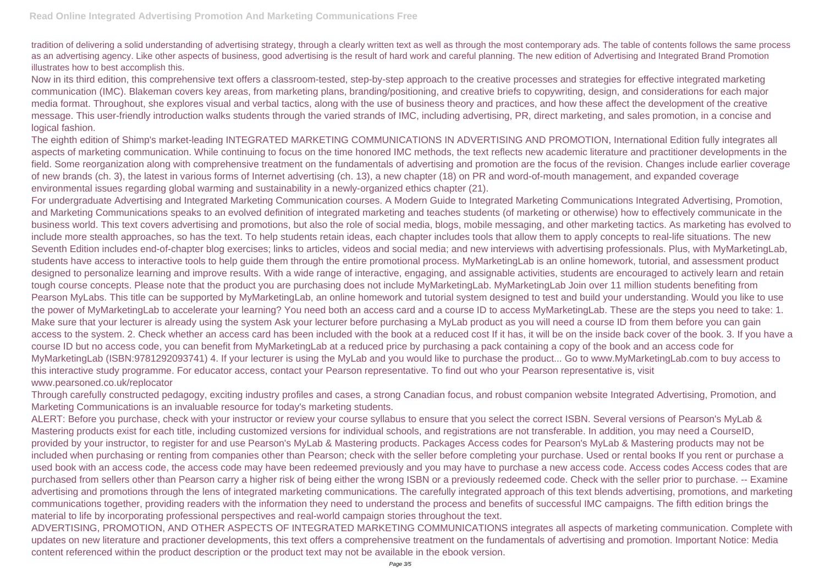tradition of delivering a solid understanding of advertising strategy, through a clearly written text as well as through the most contemporary ads. The table of contents follows the same process as an advertising agency. Like other aspects of business, good advertising is the result of hard work and careful planning. The new edition of Advertising and Integrated Brand Promotion illustrates how to best accomplish this.

Now in its third edition, this comprehensive text offers a classroom-tested, step-by-step approach to the creative processes and strategies for effective integrated marketing communication (IMC). Blakeman covers key areas, from marketing plans, branding/positioning, and creative briefs to copywriting, design, and considerations for each major media format. Throughout, she explores visual and verbal tactics, along with the use of business theory and practices, and how these affect the development of the creative message. This user-friendly introduction walks students through the varied strands of IMC, including advertising, PR, direct marketing, and sales promotion, in a concise and logical fashion.

The eighth edition of Shimp's market-leading INTEGRATED MARKETING COMMUNICATIONS IN ADVERTISING AND PROMOTION, International Edition fully integrates all aspects of marketing communication. While continuing to focus on the time honored IMC methods, the text reflects new academic literature and practitioner developments in the field. Some reorganization along with comprehensive treatment on the fundamentals of advertising and promotion are the focus of the revision. Changes include earlier coverage of new brands (ch. 3), the latest in various forms of Internet advertising (ch. 13), a new chapter (18) on PR and word-of-mouth management, and expanded coverage environmental issues regarding global warming and sustainability in a newly-organized ethics chapter (21).

For undergraduate Advertising and Integrated Marketing Communication courses. A Modern Guide to Integrated Marketing Communications Integrated Advertising, Promotion, and Marketing Communications speaks to an evolved definition of integrated marketing and teaches students (of marketing or otherwise) how to effectively communicate in the business world. This text covers advertising and promotions, but also the role of social media, blogs, mobile messaging, and other marketing tactics. As marketing has evolved to include more stealth approaches, so has the text. To help students retain ideas, each chapter includes tools that allow them to apply concepts to real-life situations. The new Seventh Edition includes end-of-chapter blog exercises; links to articles, videos and social media; and new interviews with advertising professionals. Plus, with MyMarketingLab, students have access to interactive tools to help guide them through the entire promotional process. MyMarketingLab is an online homework, tutorial, and assessment product designed to personalize learning and improve results. With a wide range of interactive, engaging, and assignable activities, students are encouraged to actively learn and retain tough course concepts. Please note that the product you are purchasing does not include MyMarketingLab. MyMarketingLab Join over 11 million students benefiting from Pearson MyLabs. This title can be supported by MyMarketingLab, an online homework and tutorial system designed to test and build your understanding. Would you like to use the power of MyMarketingLab to accelerate your learning? You need both an access card and a course ID to access MyMarketingLab. These are the steps you need to take: 1. Make sure that your lecturer is already using the system Ask your lecturer before purchasing a MyLab product as you will need a course ID from them before you can gain access to the system. 2. Check whether an access card has been included with the book at a reduced cost If it has, it will be on the inside back cover of the book. 3. If you have a course ID but no access code, you can benefit from MyMarketingLab at a reduced price by purchasing a pack containing a copy of the book and an access code for MyMarketingLab (ISBN:9781292093741) 4. If your lecturer is using the MyLab and you would like to purchase the product... Go to www.MyMarketingLab.com to buy access to this interactive study programme. For educator access, contact your Pearson representative. To find out who your Pearson representative is, visit www.pearsoned.co.uk/replocator

Through carefully constructed pedagogy, exciting industry profiles and cases, a strong Canadian focus, and robust companion website Integrated Advertising, Promotion, and Marketing Communications is an invaluable resource for today's marketing students.

ALERT: Before you purchase, check with your instructor or review your course syllabus to ensure that you select the correct ISBN. Several versions of Pearson's MyLab & Mastering products exist for each title, including customized versions for individual schools, and registrations are not transferable. In addition, you may need a CourseID, provided by your instructor, to register for and use Pearson's MyLab & Mastering products. Packages Access codes for Pearson's MyLab & Mastering products may not be included when purchasing or renting from companies other than Pearson; check with the seller before completing your purchase. Used or rental books If you rent or purchase a used book with an access code, the access code may have been redeemed previously and you may have to purchase a new access code. Access codes Access codes that are purchased from sellers other than Pearson carry a higher risk of being either the wrong ISBN or a previously redeemed code. Check with the seller prior to purchase. -- Examine advertising and promotions through the lens of integrated marketing communications. The carefully integrated approach of this text blends advertising, promotions, and marketing communications together, providing readers with the information they need to understand the process and benefits of successful IMC campaigns. The fifth edition brings the material to life by incorporating professional perspectives and real-world campaign stories throughout the text.

ADVERTISING, PROMOTION, AND OTHER ASPECTS OF INTEGRATED MARKETING COMMUNICATIONS integrates all aspects of marketing communication. Complete with updates on new literature and practioner developments, this text offers a comprehensive treatment on the fundamentals of advertising and promotion. Important Notice: Media content referenced within the product description or the product text may not be available in the ebook version.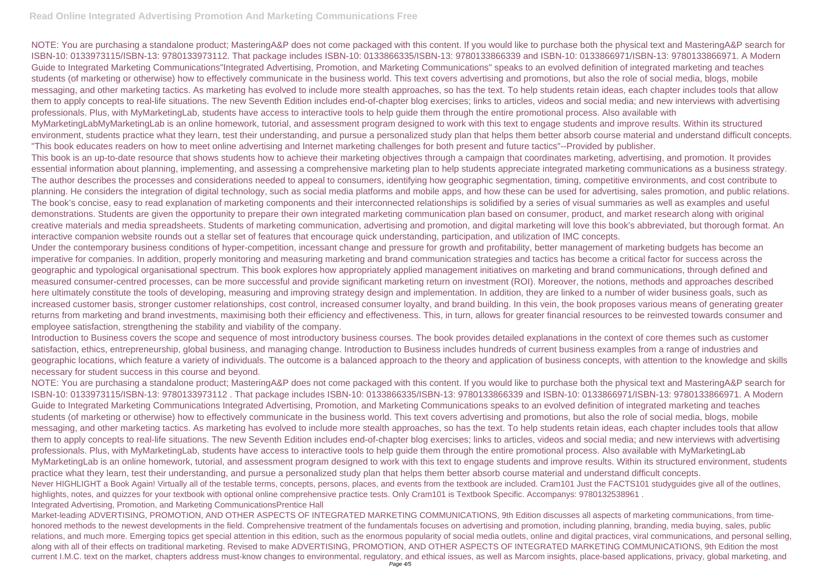## **Read Online Integrated Advertising Promotion And Marketing Communications Free**

NOTE: You are purchasing a standalone product; MasteringA&P does not come packaged with this content. If you would like to purchase both the physical text and MasteringA&P search for ISBN-10: 0133973115/ISBN-13: 9780133973112. That package includes ISBN-10: 0133866335/ISBN-13: 9780133866339 and ISBN-10: 0133866971/ISBN-13: 9780133866971. A Modern Guide to Integrated Marketing Communications"Integrated Advertising, Promotion, and Marketing Communications" speaks to an evolved definition of integrated marketing and teaches students (of marketing or otherwise) how to effectively communicate in the business world. This text covers advertising and promotions, but also the role of social media, blogs, mobile messaging, and other marketing tactics. As marketing has evolved to include more stealth approaches, so has the text. To help students retain ideas, each chapter includes tools that allow them to apply concepts to real-life situations. The new Seventh Edition includes end-of-chapter blog exercises; links to articles, videos and social media; and new interviews with advertising professionals. Plus, with MyMarketingLab, students have access to interactive tools to help guide them through the entire promotional process. Also available with MyMarketingLabMyMarketingLab is an online homework, tutorial, and assessment program designed to work with this text to engage students and improve results. Within its structured environment, students practice what they learn, test their understanding, and pursue a personalized study plan that helps them better absorb course material and understand difficult concepts. "This book educates readers on how to meet online advertising and Internet marketing challenges for both present and future tactics"--Provided by publisher. This book is an up-to-date resource that shows students how to achieve their marketing objectives through a campaign that coordinates marketing, advertising, and promotion. It provides essential information about planning, implementing, and assessing a comprehensive marketing plan to help students appreciate integrated marketing communications as a business strategy. The author describes the processes and considerations needed to appeal to consumers, identifying how geographic segmentation, timing, competitive environments, and cost contribute to planning. He considers the integration of digital technology, such as social media platforms and mobile apps, and how these can be used for advertising, sales promotion, and public relations. The book's concise, easy to read explanation of marketing components and their interconnected relationships is solidified by a series of visual summaries as well as examples and useful demonstrations. Students are given the opportunity to prepare their own integrated marketing communication plan based on consumer, product, and market research along with original creative materials and media spreadsheets. Students of marketing communication, advertising and promotion, and digital marketing will love this book's abbreviated, but thorough format. An interactive companion website rounds out a stellar set of features that encourage quick understanding, participation, and utilization of IMC concepts. Under the contemporary business conditions of hyper-competition, incessant change and pressure for growth and profitability, better management of marketing budgets has become an imperative for companies. In addition, properly monitoring and measuring marketing and brand communication strategies and tactics has become a critical factor for success across the geographic and typological organisational spectrum. This book explores how appropriately applied management initiatives on marketing and brand communications, through defined and measured consumer-centred processes, can be more successful and provide significant marketing return on investment (ROI). Moreover, the notions, methods and approaches described here ultimately constitute the tools of developing, measuring and improving strategy design and implementation. In addition, they are linked to a number of wider business goals, such as increased customer basis, stronger customer relationships, cost control, increased consumer loyalty, and brand building. In this vein, the book proposes various means of generating greater returns from marketing and brand investments, maximising both their efficiency and effectiveness. This, in turn, allows for greater financial resources to be reinvested towards consumer and employee satisfaction, strengthening the stability and viability of the company.

Introduction to Business covers the scope and sequence of most introductory business courses. The book provides detailed explanations in the context of core themes such as customer satisfaction, ethics, entrepreneurship, global business, and managing change. Introduction to Business includes hundreds of current business examples from a range of industries and geographic locations, which feature a variety of individuals. The outcome is a balanced approach to the theory and application of business concepts, with attention to the knowledge and skills necessary for student success in this course and beyond.

NOTE: You are purchasing a standalone product; MasteringA&P does not come packaged with this content. If you would like to purchase both the physical text and MasteringA&P search for ISBN-10: 0133973115/ISBN-13: 9780133973112 . That package includes ISBN-10: 0133866335/ISBN-13: 9780133866339 and ISBN-10: 0133866971/ISBN-13: 9780133866971. A Modern Guide to Integrated Marketing Communications Integrated Advertising, Promotion, and Marketing Communications speaks to an evolved definition of integrated marketing and teaches students (of marketing or otherwise) how to effectively communicate in the business world. This text covers advertising and promotions, but also the role of social media, blogs, mobile messaging, and other marketing tactics. As marketing has evolved to include more stealth approaches, so has the text. To help students retain ideas, each chapter includes tools that allow them to apply concepts to real-life situations. The new Seventh Edition includes end-of-chapter blog exercises; links to articles, videos and social media; and new interviews with advertising professionals. Plus, with MyMarketingLab, students have access to interactive tools to help guide them through the entire promotional process. Also available with MyMarketingLab MyMarketingLab is an online homework, tutorial, and assessment program designed to work with this text to engage students and improve results. Within its structured environment, students practice what they learn, test their understanding, and pursue a personalized study plan that helps them better absorb course material and understand difficult concepts. Never HIGHLIGHT a Book Again! Virtually all of the testable terms, concepts, persons, places, and events from the textbook are included. Cram101 Just the FACTS101 studyguides give all of the outlines, highlights, notes, and quizzes for your textbook with optional online comprehensive practice tests. Only Cram101 is Textbook Specific. Accompanys: 9780132538961. Integrated Advertising, Promotion, and Marketing CommunicationsPrentice Hall

Market-leading ADVERTISING, PROMOTION, AND OTHER ASPECTS OF INTEGRATED MARKETING COMMUNICATIONS, 9th Edition discusses all aspects of marketing communications, from timehonored methods to the newest developments in the field. Comprehensive treatment of the fundamentals focuses on advertising and promotion, including planning, branding, media buying, sales, public relations, and much more. Emerging topics get special attention in this edition, such as the enormous popularity of social media outlets, online and digital practices, viral communications, and personal selling, along with all of their effects on traditional marketing. Revised to make ADVERTISING, PROMOTION, AND OTHER ASPECTS OF INTEGRATED MARKETING COMMUNICATIONS, 9th Edition the most current I.M.C. text on the market, chapters address must-know changes to environmental, regulatory, and ethical issues, as well as Marcom insights, place-based applications, privacy, global marketing, and Page 4/5